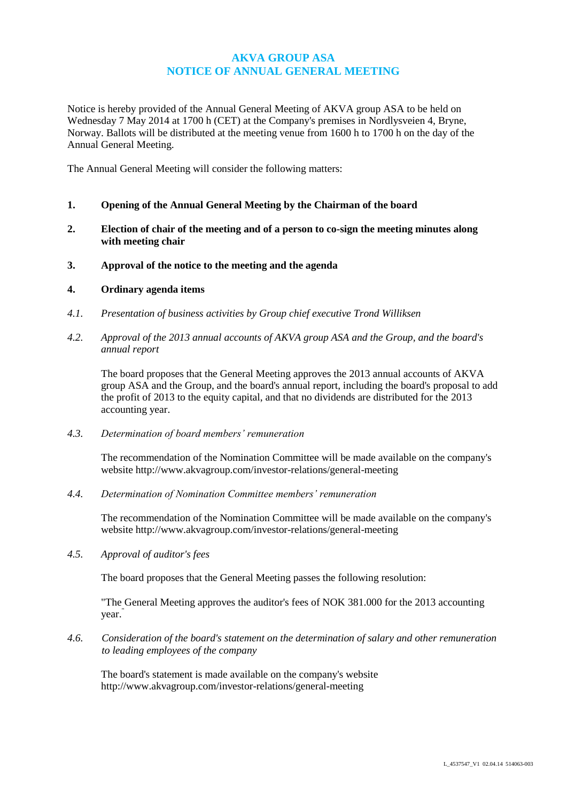# **AKVA GROUP ASA NOTICE OF ANNUAL GENERAL MEETING**

Notice is hereby provided of the Annual General Meeting of AKVA group ASA to be held on Wednesday 7 May 2014 at 1700 h (CET) at the Company's premises in Nordlysveien 4, Bryne, Norway. Ballots will be distributed at the meeting venue from 1600 h to 1700 h on the day of the Annual General Meeting.

The Annual General Meeting will consider the following matters:

- **1. Opening of the Annual General Meeting by the Chairman of the board**
- **2. Election of chair of the meeting and of a person to co-sign the meeting minutes along with meeting chair**
- **3. Approval of the notice to the meeting and the agenda**

## **4. Ordinary agenda items**

- *4.1. Presentation of business activities by Group chief executive Trond Williksen*
- *4.2. Approval of the 2013 annual accounts of AKVA group ASA and the Group, and the board's annual report*

The board proposes that the General Meeting approves the 2013 annual accounts of AKVA group ASA and the Group, and the board's annual report, including the board's proposal to add the profit of 2013 to the equity capital, and that no dividends are distributed for the 2013 accounting year.

*4.3. Determination of board members' remuneration*

The recommendation of the Nomination Committee will be made available on the company's website http://www.akvagroup.com/investor-relations/general-meeting

*4.4. Determination of Nomination Committee members' remuneration*

The recommendation of the Nomination Committee will be made available on the company's website http://www.akvagroup.com/investor-relations/general-meeting

*4.5. Approval of auditor's fees*

The board proposes that the General Meeting passes the following resolution:

"The General Meeting approves the auditor's fees of NOK 381.000 for the 2013 accounting year."

*4.6. Consideration of the board's statement on the determination of salary and other remuneration to leading employees of the company*

The board's statement is made available on the company's website http://www.akvagroup.com/investor-relations/general-meeting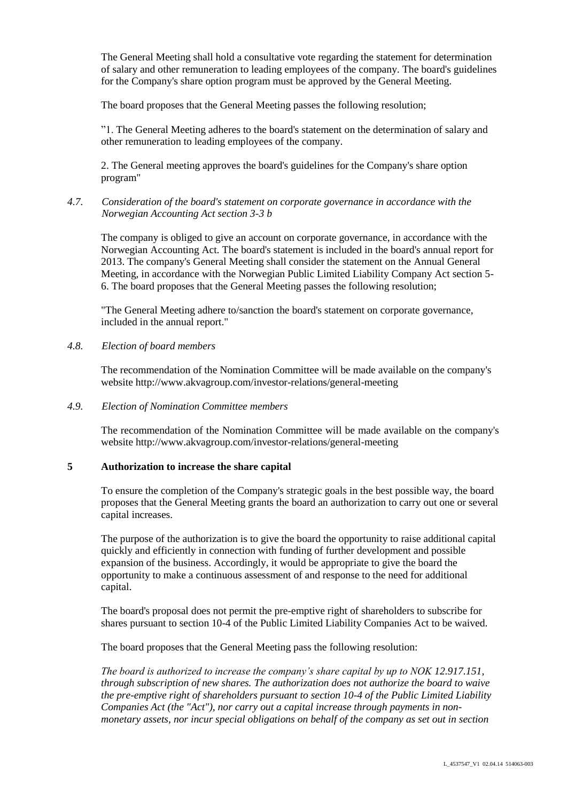The General Meeting shall hold a consultative vote regarding the statement for determination of salary and other remuneration to leading employees of the company. The board's guidelines for the Company's share option program must be approved by the General Meeting.

The board proposes that the General Meeting passes the following resolution;

"1. The General Meeting adheres to the board's statement on the determination of salary and other remuneration to leading employees of the company.

2. The General meeting approves the board's guidelines for the Company's share option program"

## *4.7. Consideration of the board's statement on corporate governance in accordance with the Norwegian Accounting Act section 3-3 b*

The company is obliged to give an account on corporate governance, in accordance with the Norwegian Accounting Act. The board's statement is included in the board's annual report for 2013. The company's General Meeting shall consider the statement on the Annual General Meeting, in accordance with the Norwegian Public Limited Liability Company Act section 5- 6. The board proposes that the General Meeting passes the following resolution;

"The General Meeting adhere to/sanction the board's statement on corporate governance, included in the annual report."

## *4.8. Election of board members*

The recommendation of the Nomination Committee will be made available on the company's website http://www.akvagroup.com/investor-relations/general-meeting

## *4.9. Election of Nomination Committee members*

The recommendation of the Nomination Committee will be made available on the company's website http://www.akvagroup.com/investor-relations/general-meeting

# **5 Authorization to increase the share capital**

To ensure the completion of the Company's strategic goals in the best possible way, the board proposes that the General Meeting grants the board an authorization to carry out one or several capital increases.

The purpose of the authorization is to give the board the opportunity to raise additional capital quickly and efficiently in connection with funding of further development and possible expansion of the business. Accordingly, it would be appropriate to give the board the opportunity to make a continuous assessment of and response to the need for additional capital.

The board's proposal does not permit the pre-emptive right of shareholders to subscribe for shares pursuant to section 10-4 of the Public Limited Liability Companies Act to be waived.

The board proposes that the General Meeting pass the following resolution:

*The board is authorized to increase the company's share capital by up to NOK 12.917.151, through subscription of new shares. The authorization does not authorize the board to waive the pre-emptive right of shareholders pursuant to section 10-4 of the Public Limited Liability Companies Act (the "Act"), nor carry out a capital increase through payments in nonmonetary assets, nor incur special obligations on behalf of the company as set out in section*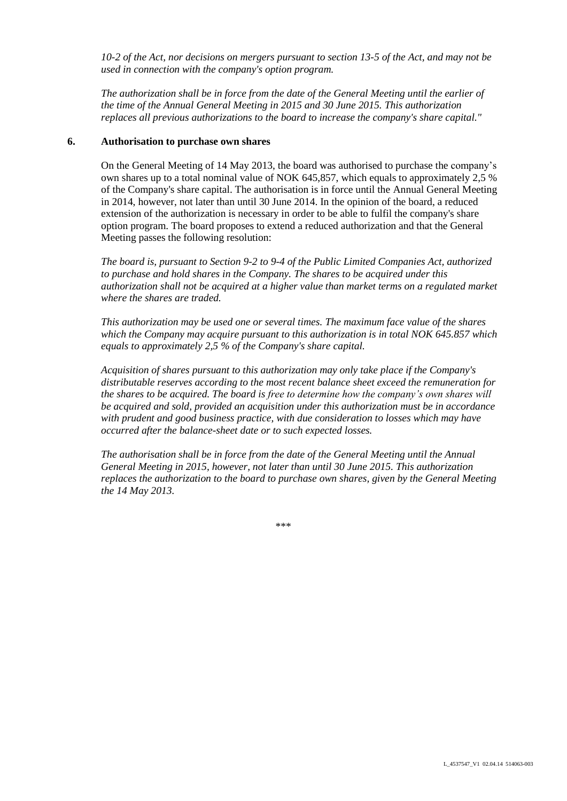*10-2 of the Act, nor decisions on mergers pursuant to section 13-5 of the Act, and may not be used in connection with the company's option program.* 

*The authorization shall be in force from the date of the General Meeting until the earlier of the time of the Annual General Meeting in 2015 and 30 June 2015. This authorization replaces all previous authorizations to the board to increase the company's share capital."*

## **6. Authorisation to purchase own shares**

On the General Meeting of 14 May 2013, the board was authorised to purchase the company's own shares up to a total nominal value of NOK 645,857, which equals to approximately 2,5 % of the Company's share capital. The authorisation is in force until the Annual General Meeting in 2014, however, not later than until 30 June 2014. In the opinion of the board, a reduced extension of the authorization is necessary in order to be able to fulfil the company's share option program. The board proposes to extend a reduced authorization and that the General Meeting passes the following resolution:

*The board is, pursuant to Section 9-2 to 9-4 of the Public Limited Companies Act, authorized to purchase and hold shares in the Company. The shares to be acquired under this authorization shall not be acquired at a higher value than market terms on a regulated market where the shares are traded.*

*This authorization may be used one or several times. The maximum face value of the shares which the Company may acquire pursuant to this authorization is in total NOK 645.857 which equals to approximately 2,5 % of the Company's share capital.*

*Acquisition of shares pursuant to this authorization may only take place if the Company's distributable reserves according to the most recent balance sheet exceed the remuneration for the shares to be acquired. The board is free to determine how the company's own shares will be acquired and sold, provided an acquisition under this authorization must be in accordance with prudent and good business practice, with due consideration to losses which may have occurred after the balance-sheet date or to such expected losses.*

*The authorisation shall be in force from the date of the General Meeting until the Annual General Meeting in 2015, however, not later than until 30 June 2015. This authorization replaces the authorization to the board to purchase own shares, given by the General Meeting the 14 May 2013.*

\*\*\*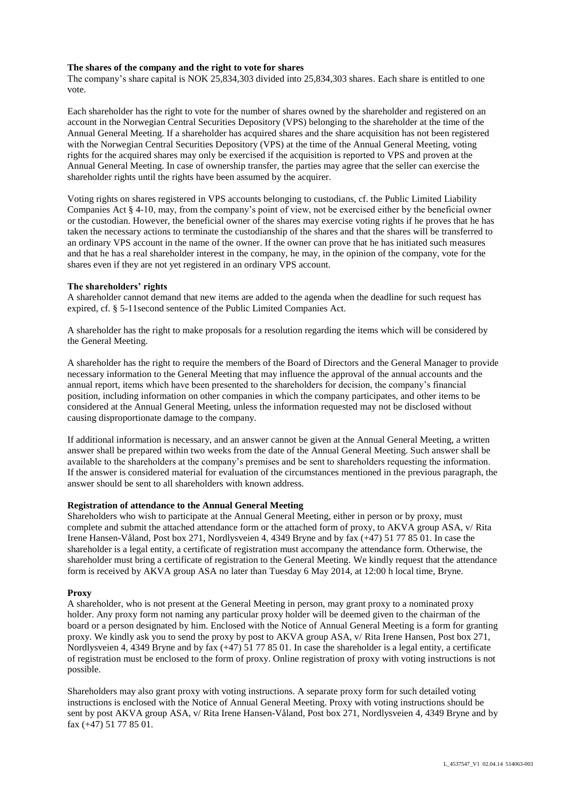### **The shares of the company and the right to vote for shares**

The company's share capital is NOK 25,834,303 divided into 25,834,303 shares. Each share is entitled to one vote.

Each shareholder has the right to vote for the number of shares owned by the shareholder and registered on an account in the Norwegian Central Securities Depository (VPS) belonging to the shareholder at the time of the Annual General Meeting. If a shareholder has acquired shares and the share acquisition has not been registered with the Norwegian Central Securities Depository (VPS) at the time of the Annual General Meeting, voting rights for the acquired shares may only be exercised if the acquisition is reported to VPS and proven at the Annual General Meeting. In case of ownership transfer, the parties may agree that the seller can exercise the shareholder rights until the rights have been assumed by the acquirer.

Voting rights on shares registered in VPS accounts belonging to custodians, cf. the Public Limited Liability Companies Act § 4-10, may, from the company's point of view, not be exercised either by the beneficial owner or the custodian. However, the beneficial owner of the shares may exercise voting rights if he proves that he has taken the necessary actions to terminate the custodianship of the shares and that the shares will be transferred to an ordinary VPS account in the name of the owner. If the owner can prove that he has initiated such measures and that he has a real shareholder interest in the company, he may, in the opinion of the company, vote for the shares even if they are not yet registered in an ordinary VPS account.

## **The shareholders' rights**

A shareholder cannot demand that new items are added to the agenda when the deadline for such request has expired, cf. § 5-11second sentence of the Public Limited Companies Act.

A shareholder has the right to make proposals for a resolution regarding the items which will be considered by the General Meeting.

A shareholder has the right to require the members of the Board of Directors and the General Manager to provide necessary information to the General Meeting that may influence the approval of the annual accounts and the annual report, items which have been presented to the shareholders for decision, the company's financial position, including information on other companies in which the company participates, and other items to be considered at the Annual General Meeting, unless the information requested may not be disclosed without causing disproportionate damage to the company.

If additional information is necessary, and an answer cannot be given at the Annual General Meeting, a written answer shall be prepared within two weeks from the date of the Annual General Meeting. Such answer shall be available to the shareholders at the company's premises and be sent to shareholders requesting the information. If the answer is considered material for evaluation of the circumstances mentioned in the previous paragraph, the answer should be sent to all shareholders with known address.

### **Registration of attendance to the Annual General Meeting**

Shareholders who wish to participate at the Annual General Meeting, either in person or by proxy, must complete and submit the attached attendance form or the attached form of proxy, to AKVA group ASA, v/ Rita Irene Hansen-Våland, Post box 271, Nordlysveien 4, 4349 Bryne and by fax (+47) 51 77 85 01. In case the shareholder is a legal entity, a certificate of registration must accompany the attendance form. Otherwise, the shareholder must bring a certificate of registration to the General Meeting. We kindly request that the attendance form is received by AKVA group ASA no later than Tuesday 6 May 2014, at 12:00 h local time, Bryne.

#### **Proxy**

A shareholder, who is not present at the General Meeting in person, may grant proxy to a nominated proxy holder. Any proxy form not naming any particular proxy holder will be deemed given to the chairman of the board or a person designated by him. Enclosed with the Notice of Annual General Meeting is a form for granting proxy. We kindly ask you to send the proxy by post to AKVA group ASA, v/ Rita Irene Hansen, Post box 271, Nordlysveien 4, 4349 Bryne and by fax (+47) 51 77 85 01. In case the shareholder is a legal entity, a certificate of registration must be enclosed to the form of proxy. Online registration of proxy with voting instructions is not possible.

Shareholders may also grant proxy with voting instructions. A separate proxy form for such detailed voting instructions is enclosed with the Notice of Annual General Meeting. Proxy with voting instructions should be sent by post AKVA group ASA, v/ Rita Irene Hansen-Våland, Post box 271, Nordlysveien 4, 4349 Bryne and by fax (+47) 51 77 85 01.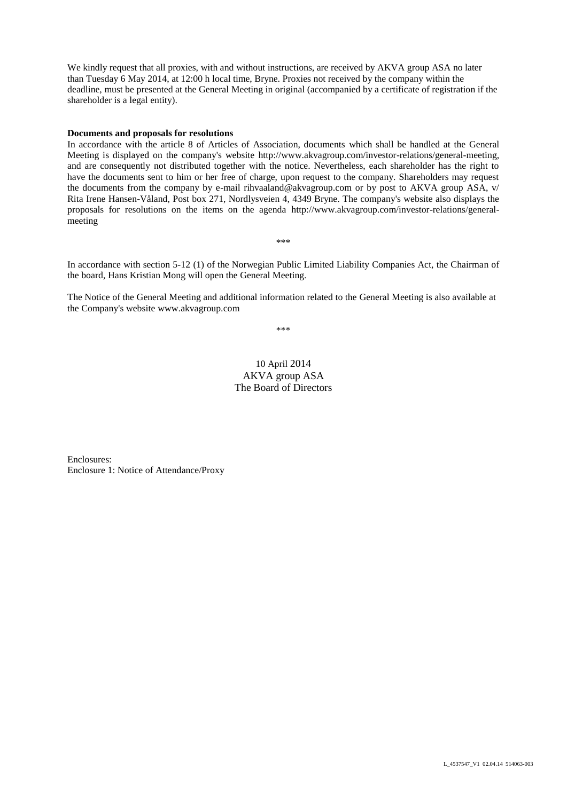We kindly request that all proxies, with and without instructions, are received by AKVA group ASA no later than Tuesday 6 May 2014, at 12:00 h local time, Bryne. Proxies not received by the company within the deadline, must be presented at the General Meeting in original (accompanied by a certificate of registration if the shareholder is a legal entity).

#### **Documents and proposals for resolutions**

In accordance with the article 8 of Articles of Association, documents which shall be handled at the General Meeting is displayed on the company's website http://www.akvagroup.com/investor-relations/general-meeting, and are consequently not distributed together with the notice. Nevertheless, each shareholder has the right to have the documents sent to him or her free of charge, upon request to the company. Shareholders may request the documents from the company by e-mail rihvaaland@akvagroup.com or by post to AKVA group ASA, v/ Rita Irene Hansen-Våland, Post box 271, Nordlysveien 4, 4349 Bryne. The company's website also displays the proposals for resolutions on the items on the agenda http://www.akvagroup.com/investor-relations/generalmeeting

In accordance with section 5-12 (1) of the Norwegian Public Limited Liability Companies Act, the Chairman of the board, Hans Kristian Mong will open the General Meeting.

\*\*\*

The Notice of the General Meeting and additional information related to the General Meeting is also available at the Company's website www.akvagroup.com

\*\*\*

# 10 April 2014 AKVA group ASA The Board of Directors

Enclosures: Enclosure 1: Notice of Attendance/Proxy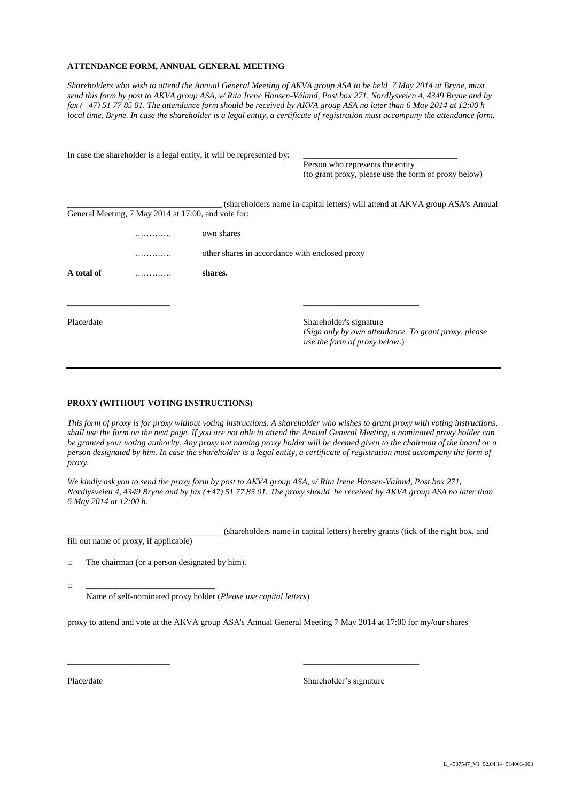#### **ATTENDANCE FORM, ANNUAL GENERAL MEETING**

*Shareholders who wish to attend the Annual General Meeting of AKVA group ASA to be held 7 May 2014 at Bryne, must send this form by post to AKVA group ASA*, *v/ Rita Irene Hansen-Våland, Post box 271, Nordlysveien 4, 4349 Bryne and by fax (+47) 51 77 85 01. The attendance form should be received by AKVA group ASA no later than 6 May 2014 at 12:00 h local time, Bryne. In case the shareholder is a legal entity, a certificate of registration must accompany the attendance form.* 

|            |                                                     | In case the shareholder is a legal entity, it will be represented by: |                                                                                       |  |  |
|------------|-----------------------------------------------------|-----------------------------------------------------------------------|---------------------------------------------------------------------------------------|--|--|
|            |                                                     |                                                                       | Person who represents the entity                                                      |  |  |
|            |                                                     |                                                                       | (to grant proxy, please use the form of proxy below)                                  |  |  |
|            |                                                     |                                                                       | (shareholders name in capital letters) will attend at AKVA group ASA's Annual         |  |  |
|            | General Meeting, 7 May 2014 at 17:00, and vote for: |                                                                       |                                                                                       |  |  |
|            |                                                     | own shares                                                            |                                                                                       |  |  |
|            |                                                     | other shares in accordance with enclosed proxy                        |                                                                                       |  |  |
| A total of | .                                                   | shares.                                                               |                                                                                       |  |  |
|            |                                                     |                                                                       |                                                                                       |  |  |
| Place/date |                                                     |                                                                       | Shareholder's signature                                                               |  |  |
|            |                                                     |                                                                       | (Sign only by own attendance. To grant proxy, please<br>use the form of proxy below.) |  |  |

### **PROXY (WITHOUT VOTING INSTRUCTIONS)**

*This form of proxy is for proxy without voting instructions. A shareholder who wishes to grant proxy with voting instructions, shall use the form on the next page. If you are not able to attend the Annual General Meeting, a nominated proxy holder can be granted your voting authority. Any proxy not naming proxy holder will be deemed given to the chairman of the board or a person designated by him. In case the shareholder is a legal entity, a certificate of registration must accompany the form of proxy.*

*We kindly ask you to send the proxy form by post to AKVA group ASA, v/ Rita Irene Hansen-Våland, Post box 271, Nordlysveien 4, 4349 Bryne and by fax (+47) 51 77 85 01. The proxy should be received by AKVA group ASA no later than 6 May 2014 at 12:00 h.*

\_\_\_\_\_\_\_\_\_\_\_\_\_\_\_\_\_\_\_\_\_\_\_\_\_\_\_\_\_\_\_\_\_\_\_\_ (shareholders name in capital letters) hereby grants (tick of the right box, and fill out name of proxy, if applicable)

 $\Box$  The chairman (or a person designated by him).

□ \_\_\_\_\_\_\_\_\_\_\_\_\_\_\_\_\_\_\_\_\_\_\_\_\_\_\_\_\_\_

Name of self-nominated proxy holder (*Please use capital letters*)

proxy to attend and vote at the AKVA group ASA's Annual General Meeting 7 May 2014 at 17:00 for my/our shares

\_\_\_\_\_\_\_\_\_\_\_\_\_\_\_\_\_\_\_\_\_\_\_\_ \_\_\_\_\_\_\_\_\_\_\_\_\_\_\_\_\_\_\_\_\_\_\_\_\_\_\_

Place/date Shareholder's signature